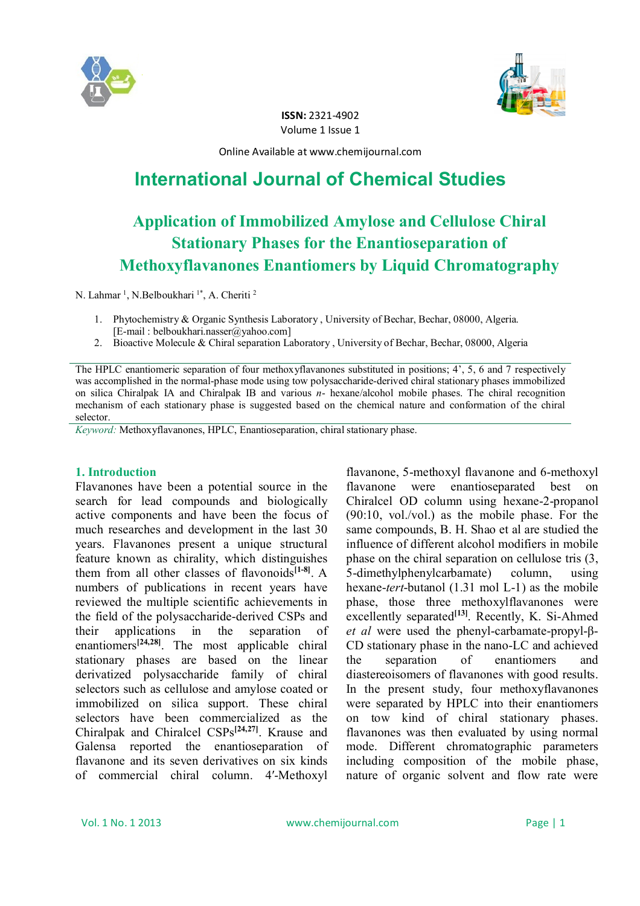



**ISSN:** 2321-4902 Volume 1 Issue 1

Online Available at www.chemijournal.com

# **International Journal of Chemical Studies**

# **Application of Immobilized Amylose and Cellulose Chiral Stationary Phases for the Enantioseparation of Methoxyflavanones Enantiomers by Liquid Chromatography**

N. Lahmar<sup>1</sup>, N.Belboukhari<sup>1\*</sup>, A. Cheriti<sup>2</sup>

- 1. Phytochemistry & Organic Synthesis Laboratory , University of Bechar, Bechar, 08000, Algeria. [E-mail : belboukhari.nasser@yahoo.com]
- 2. Bioactive Molecule & Chiral separation Laboratory , University of Bechar, Bechar, 08000, Algeria

The HPLC enantiomeric separation of four methoxyflavanones substituted in positions; 4', 5, 6 and 7 respectively was accomplished in the normal-phase mode using tow polysaccharide-derived chiral stationary phases immobilized on silica Chiralpak IA and Chiralpak IB and various *n*- hexane/alcohol mobile phases. The chiral recognition mechanism of each stationary phase is suggested based on the chemical nature and conformation of the chiral selector.

*Keyword:* Methoxyflavanones, HPLC, Enantioseparation, chiral stationary phase.

## **1. Introduction**

Flavanones have been a potential source in the search for lead compounds and biologically active components and have been the focus of much researches and development in the last 30 years. Flavanones present a unique structural feature known as chirality, which distinguishes them from all other classes of flavonoids**[1-8]** . A numbers of publications in recent years have reviewed the multiple scientific achievements in the field of the polysaccharide-derived CSPs and their applications in the separation of enantiomers**[24,28]** . The most applicable chiral stationary phases are based on the linear derivatized polysaccharide family of chiral selectors such as cellulose and amylose coated or immobilized on silica support. These chiral selectors have been commercialized as the Chiralpak and Chiralcel CSPs**[24,27]** . Krause and Galensa reported the enantioseparation of flavanone and its seven derivatives on six kinds of commercial chiral column. 4′-Methoxyl

flavanone, 5-methoxyl flavanone and 6-methoxyl flavanone were enantioseparated best on Chiralcel OD column using hexane-2-propanol (90:10, vol./vol.) as the mobile phase. For the same compounds, B. H. Shao et al are studied the influence of different alcohol modifiers in mobile phase on the chiral separation on cellulose tris (3, 5-dimethylphenylcarbamate) column, using hexane-*tert*-butanol (1.31 mol L-1) as the mobile phase, those three methoxylflavanones were excellently separated<sup>[13]</sup>. Recently, K. Si-Ahmed *et al* were used the phenyl-carbamate-propyl-β-CD stationary phase in the nano-LC and achieved the separation of enantiomers and diastereoisomers of flavanones with good results. In the present study, four methoxyflavanones were separated by HPLC into their enantiomers on tow kind of chiral stationary phases. flavanones was then evaluated by using normal mode. Different chromatographic parameters including composition of the mobile phase, nature of organic solvent and flow rate were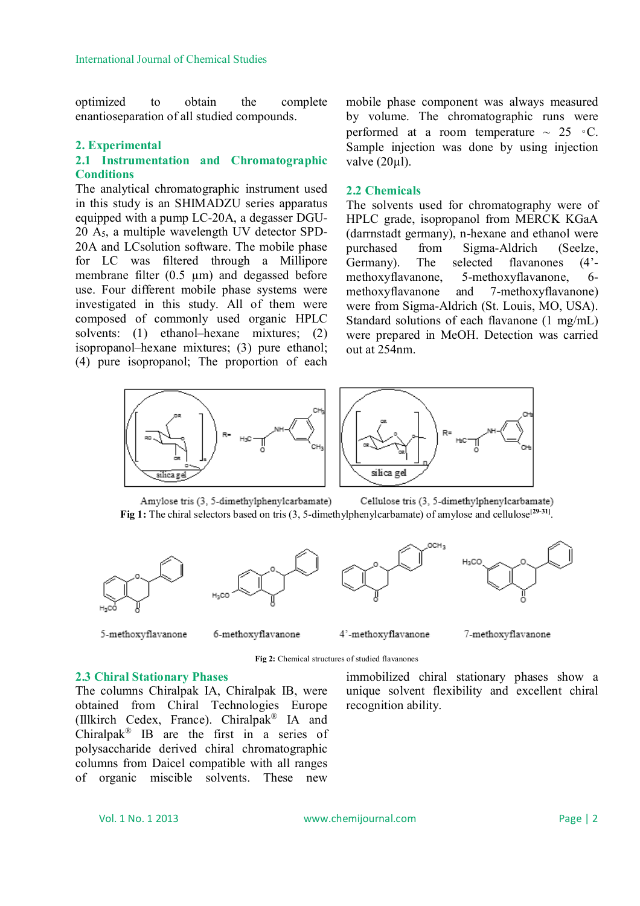optimized to obtain the complete enantioseparation of all studied compounds.

## **2. Experimental**

## **2.1 Instrumentation and Chromatographic Conditions**

The analytical chromatographic instrument used in this study is an SHIMADZU series apparatus equipped with a pump LC-20A, a degasser DGU-20 A5, a multiple wavelength UV detector SPD-20A and LCsolution software. The mobile phase for LC was filtered through a Millipore membrane filter  $(0.5 \mu m)$  and degassed before use. Four different mobile phase systems were investigated in this study. All of them were composed of commonly used organic HPLC solvents: (1) ethanol-hexane mixtures; (2) isopropanol–hexane mixtures; (3) pure ethanol; (4) pure isopropanol; The proportion of each

mobile phase component was always measured by volume. The chromatographic runs were performed at a room temperature  $\sim 25 \text{ °C}$ . Sample injection was done by using injection valve  $(20 \mu l)$ .

### **2.2 Chemicals**

The solvents used for chromatography were of HPLC grade, isopropanol from MERCK KGaA (darrnstadt germany), n-hexane and ethanol were purchased from Sigma-Aldrich (Seelze, Germany). The selected flavanones (4' methoxyflavanone, 5-methoxyflavanone, 6 methoxyflavanone and 7-methoxyflavanone) were from Sigma-Aldrich (St. Louis, MO, USA). Standard solutions of each flavanone (1 mg/mL) were prepared in MeOH. Detection was carried out at 254nm.



Amylose tris (3, 5-dimethylphenylcarbamate) Cellulose tris (3, 5-dimethylphenylcarbamate) Fig 1: The chiral selectors based on tris (3, 5-dimethylphenylcarbamate) of amylose and cellulose<sup>[29-31]</sup>.









5-methoxyflavanone

6-methoxyflavanone



7-methoxyflavanone

unique solvent flexibility and excellent chiral

**Fig 2:** Chemical structures of studied flavanones

immobilized chiral stationary phases show a

recognition ability.

#### **2.3 Chiral Stationary Phases**

The columns Chiralpak IA, Chiralpak IB, were obtained from Chiral Technologies Europe (Illkirch Cedex, France). Chiralpak® IA and Chiralpak<sup>®</sup> IB are the first in a series of polysaccharide derived chiral chromatographic columns from Daicel compatible with all ranges of organic miscible solvents. These new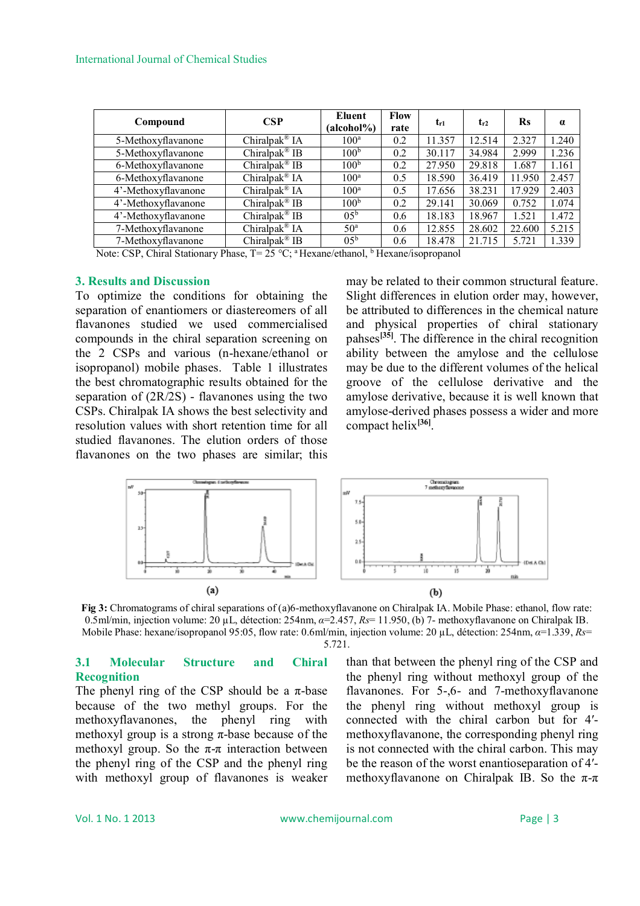### International Journal of Chemical Studies

| Compound            | <b>CSP</b>                | Eluent<br>(alcohol%) | <b>Flow</b><br>rate | $t_{r1}$ | $t_{r2}$ | <b>Rs</b> | $\alpha$ |
|---------------------|---------------------------|----------------------|---------------------|----------|----------|-----------|----------|
| 5-Methoxyflavanone  | Chiralpak <sup>®</sup> IA | 100 <sup>a</sup>     | 0.2                 | 11.357   | 12.514   | 2.327     | 1.240    |
| 5-Methoxyflavanone  | Chiralpak <sup>®</sup> IB | 100 <sup>b</sup>     | 0.2                 | 30.117   | 34.984   | 2.999     | 1.236    |
| 6-Methoxyflavanone  | Chiralpak <sup>®</sup> IB | 100 <sup>b</sup>     | 0.2                 | 27.950   | 29.818   | 1.687     | 1.161    |
| 6-Methoxyflavanone  | Chiralpak <sup>®</sup> IA | 100 <sup>a</sup>     | 0.5                 | 18.590   | 36.419   | 11.950    | 2.457    |
| 4'-Methoxyflavanone | Chiralpak <sup>®</sup> IA | 100 <sup>a</sup>     | 0.5                 | 17.656   | 38.231   | 17.929    | 2.403    |
| 4'-Methoxyflavanone | Chiralpak <sup>®</sup> IB | 100 <sup>b</sup>     | 0.2                 | 29.141   | 30.069   | 0.752     | 1.074    |
| 4'-Methoxyflavanone | Chiralpak <sup>®</sup> IB | $0.5^{\rm b}$        | 0.6                 | 18.183   | 18.967   | 1.521     | 1.472    |
| 7-Methoxyflavanone  | Chiralpak® IA             | 50 <sup>a</sup>      | 0.6                 | 12.855   | 28.602   | 22.600    | 5.215    |
| 7-Methoxyflavanone  | Chiralpak <sup>®</sup> IB | 0.5 <sup>b</sup>     | 0.6                 | 18.478   | 21.715   | 5.721     | 1.339    |

Note: CSP, Chiral Stationary Phase, T= 25 °C; <sup>a</sup> Hexane/ethanol, <sup>b</sup> Hexane/isopropanol

## **3. Results and Discussion**

To optimize the conditions for obtaining the separation of enantiomers or diastereomers of all flavanones studied we used commercialised compounds in the chiral separation screening on the 2 CSPs and various (n-hexane/ethanol or isopropanol) mobile phases. Table 1 illustrates the best chromatographic results obtained for the separation of (2R/2S) - flavanones using the two CSPs. Chiralpak IA shows the best selectivity and resolution values with short retention time for all studied flavanones. The elution orders of those flavanones on the two phases are similar; this may be related to their common structural feature. Slight differences in elution order may, however, be attributed to differences in the chemical nature and physical properties of chiral stationary pahses**[35]** . The difference in the chiral recognition ability between the amylose and the cellulose may be due to the different volumes of the helical groove of the cellulose derivative and the amylose derivative, because it is well known that amylose-derived phases possess a wider and more compact helix**[36]** .



**Fig 3:** Chromatograms of chiral separations of (a)6-methoxyflavanone on Chiralpak IA. Mobile Phase: ethanol, flow rate: 0.5ml/min, injection volume: 20 µL, détection: 254nm, *α*=2.457, *Rs*= 11.950, (b) 7- methoxyflavanone on Chiralpak IB. Mobile Phase: hexane/isopropanol 95:05, flow rate: 0.6ml/min, injection volume: 20 µL, détection: 254nm, *α*=1.339, *Rs*=

#### 5.721.

## **3.1 Molecular Structure and Chiral Recognition**

The phenyl ring of the CSP should be a  $\pi$ -base because of the two methyl groups. For the methoxyflavanones, the phenyl ring with methoxyl group is a strong  $\pi$ -base because of the methoxyl group. So the  $\pi$ - $\pi$  interaction between the phenyl ring of the CSP and the phenyl ring with methoxyl group of flavanones is weaker than that between the phenyl ring of the CSP and the phenyl ring without methoxyl group of the flavanones. For 5-,6- and 7-methoxyflavanone the phenyl ring without methoxyl group is connected with the chiral carbon but for 4′ methoxyflavanone, the corresponding phenyl ring is not connected with the chiral carbon. This may be the reason of the worst enantioseparation of 4′ methoxyflavanone on Chiralpak IB. So the  $\pi$ - $\pi$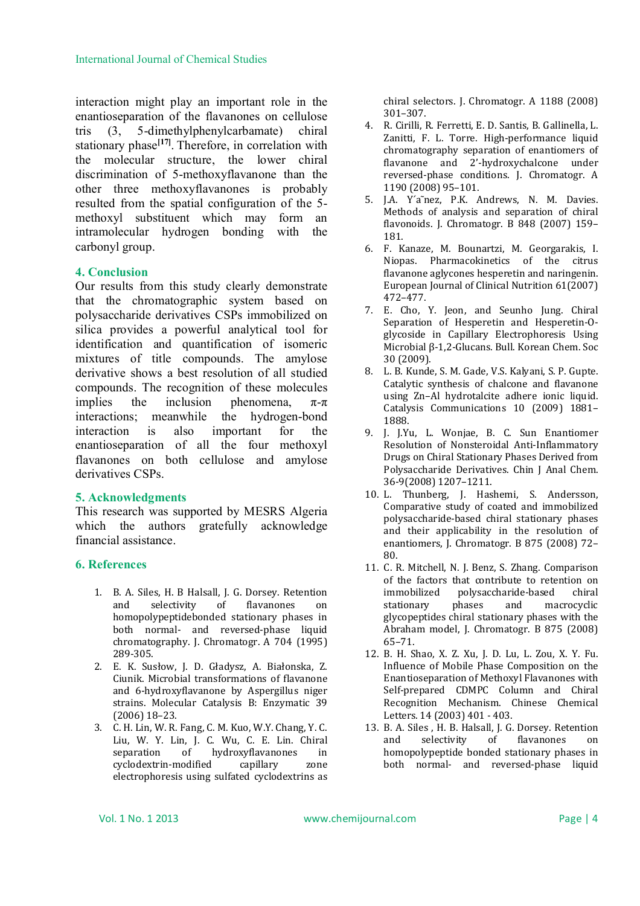interaction might play an important role in the enantioseparation of the flavanones on cellulose tris (3, 5-dimethylphenylcarbamate) chiral stationary phase<sup>[17]</sup>. Therefore, in correlation with the molecular structure, the lower chiral discrimination of 5-methoxyflavanone than the other three methoxyflavanones is probably resulted from the spatial configuration of the 5 methoxyl substituent which may form an intramolecular hydrogen bonding with the carbonyl group.

## **4. Conclusion**

Our results from this study clearly demonstrate that the chromatographic system based on polysaccharide derivatives CSPs immobilized on silica provides a powerful analytical tool for identification and quantification of isomeric mixtures of title compounds. The amylose derivative shows a best resolution of all studied compounds. The recognition of these molecules implies the inclusion phenomena,  $\pi-\pi$ interactions; meanwhile the hydrogen-bond interaction is also important for the enantioseparation of all the four methoxyl flavanones on both cellulose and amylose derivatives CSPs.

## **5. Acknowledgments**

This research was supported by MESRS Algeria which the authors gratefully acknowledge financial assistance.

## **6. References**

- 1. B. A. Siles, H. B Halsall, J. G. Dorsey. Retention and selectivity of flavanones on homopolypeptidebonded stationary phases in both normal- and reversed-phase liquid chromatography. J. Chromatogr. A 704 (1995) 289-305.
- 2. E. K. Susłow, J. D. Gładysz, A. Białonska, Z. Ciunik. Microbial transformations of flavanone and 6-hydroxyflavanone by Aspergillus niger strains. Molecular Catalysis B: Enzymatic 39 (2006) 18–23.
- 3. C. H. Lin, W. R. Fang, C. M. Kuo, W.Y. Chang, Y. C. Liu, W. Y. Lin, J. C. Wu, C. E. Lin. Chiral separation of hydroxyflavanones in cyclodextrin-modified capillary zone electrophoresis using sulfated cyclodextrins as

chiral selectors. J. Chromatogr. A 1188 (2008) 301–307.

- 4. R. Cirilli, R. Ferretti, E. D. Santis, B. Gallinella, L. Zanitti, F. L. Torre. High-performance liquid chromatography separation of enantiomers of flavanone and 2'-hydroxychalcone under reversed-phase conditions. J. Chromatogr. A 1190 (2008) 95–101.
- 5. J.A. Y´a˜nez, P.K. Andrews, N. M. Davies. Methods of analysis and separation of chiral flavonoids. J. Chromatogr. B 848 (2007) 159– 181.
- 6. F. Kanaze, M. Bounartzi, M. Georgarakis, I. Niopas. Pharmacokinetics of the citrus flavanone aglycones hesperetin and naringenin. European Journal of Clinical Nutrition 61(2007) 472–477.
- 7. E. Cho, Y. Jeon, and Seunho Jung. Chiral Separation of Hesperetin and Hesperetin-Oglycoside in Capillary Electrophoresis Using Microbial β-1,2-Glucans. Bull. Korean Chem. Soc 30 (2009).
- 8. L. B. Kunde, S. M. Gade, V.S. Kalyani, S. P. Gupte. Catalytic synthesis of chalcone and flavanone using Zn–Al hydrotalcite adhere ionic liquid. Catalysis Communications 10 (2009) 1881– 1888.
- 9. J. J.Yu, L. Wonjae, B. C. Sun Enantiomer Resolution of Nonsteroidal Anti-Inflammatory Drugs on Chiral Stationary Phases Derived from Polysaccharide Derivatives. Chin J Anal Chem. 36-9(2008) 1207–1211.
- 10. L. Thunberg, J. Hashemi, S. Andersson, Comparative study of coated and immobilized polysaccharide-based chiral stationary phases and their applicability in the resolution of enantiomers, J. Chromatogr. B 875 (2008) 72– 80.
- 11. C. R. Mitchell, N. J. Benz, S. Zhang. Comparison of the factors that contribute to retention on immobilized polysaccharide-based chiral stationary phases and macrocyclic glycopeptides chiral stationary phases with the Abraham model, J. Chromatogr. B 875 (2008) 65–71.
- 12. B. H. Shao, X. Z. Xu, J. D. Lu, L. Zou, X. Y. Fu. Influence of Mobile Phase Composition on the Enantioseparation of Methoxyl Flavanones with Self-prepared CDMPC Column and Chiral Recognition Mechanism. Chinese Chemical Letters. 14 (2003) 401 - 403.
- 13. B. A. Siles , H. B. Halsall, J. G. Dorsey. Retention and selectivity of flavanones on homopolypeptide bonded stationary phases in both normal- and reversed-phase liquid